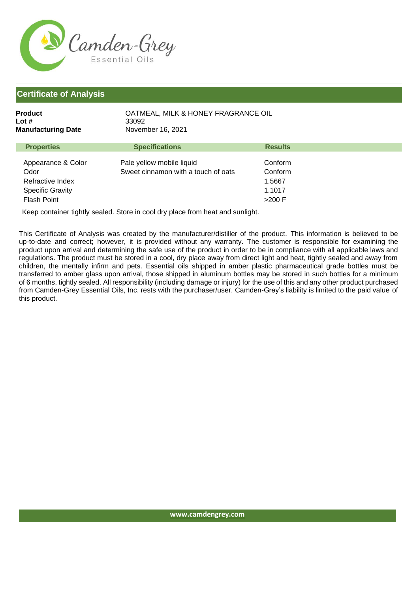

| <b>Product</b><br>Lot #<br><b>Manufacturing Date</b> | OATMEAL, MILK & HONEY FRAGRANCE OIL<br>33092<br>November 16, 2021 |                |
|------------------------------------------------------|-------------------------------------------------------------------|----------------|
| <b>Properties</b>                                    | <b>Specifications</b>                                             | <b>Results</b> |
| Appearance & Color                                   | Pale yellow mobile liquid                                         | Conform        |
| Odor                                                 | Sweet cinnamon with a touch of oats                               | Conform        |
| Refractive Index                                     |                                                                   | 1.5667         |
| <b>Specific Gravity</b>                              |                                                                   | 1.1017         |
| Flash Point                                          |                                                                   | $>200$ F       |

Keep container tightly sealed. Store in cool dry place from heat and sunlight.

This Certificate of Analysis was created by the manufacturer/distiller of the product. This information is believed to be up-to-date and correct; however, it is provided without any warranty. The customer is responsible for examining the product upon arrival and determining the safe use of the product in order to be in compliance with all applicable laws and regulations. The product must be stored in a cool, dry place away from direct light and heat, tightly sealed and away from children, the mentally infirm and pets. Essential oils shipped in amber plastic pharmaceutical grade bottles must be transferred to amber glass upon arrival, those shipped in aluminum bottles may be stored in such bottles for a minimum of 6 months, tightly sealed. All responsibility (including damage or injury) for the use of this and any other product purchased from Camden-Grey Essential Oils, Inc. rests with the purchaser/user. Camden-Grey's liability is limited to the paid value of this product.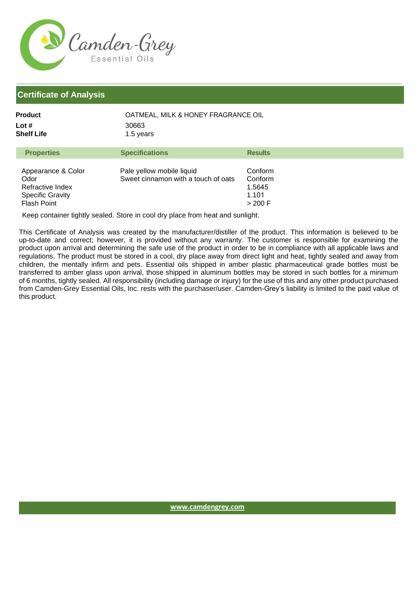

Specific Gravity Flash Point

| <b>Product</b><br>OATMEAL, MILK & HONEY FRAGRANCE OIL<br>Lot $#$<br>30663<br><b>Shelf Life</b><br>1.5 years |                                                                  |                              |
|-------------------------------------------------------------------------------------------------------------|------------------------------------------------------------------|------------------------------|
| <b>Properties</b>                                                                                           | <b>Specifications</b>                                            | <b>Results</b>               |
| Appearance & Color<br>Odor<br>Refractive Index                                                              | Pale yellow mobile liquid<br>Sweet cinnamon with a touch of oats | Conform<br>Conform<br>1.5645 |

Keep container tightly sealed. Store in cool dry place from heat and sunlight.

This Certificate of Analysis was created by the manufacturer/distiller of the product. This information is believed to be up-to-date and correct; however, it is provided without any warranty. The customer is responsible for examining the product upon arrival and determining the safe use of the product in order to be in compliance with all applicable laws and regulations. The product must be stored in a cool, dry place away from direct light and heat, tightly sealed and away from children, the mentally infirm and pets. Essential oils shipped in amber plastic pharmaceutical grade bottles must be transferred to amber glass upon arrival, those shipped in aluminum bottles may be stored in such bottles for a minimum of 6 months, tightly sealed. All responsibility (including damage or injury) for the use of this and any other product purchased from Camden-Grey Essential Oils, Inc. rests with the purchaser/user. Camden-Grey's liability is limited to the paid value of this product.

1.101 > 200 F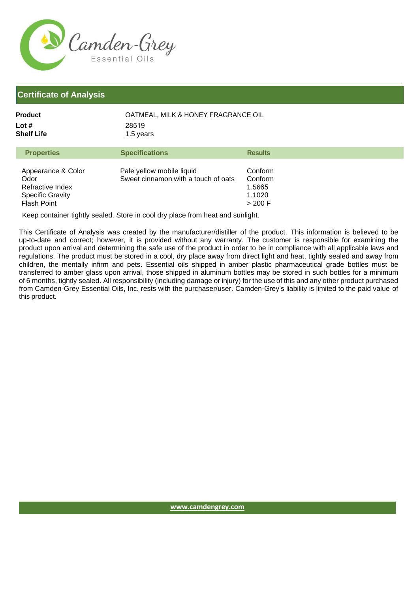

| Product             | OATMEAL, MILK & HONEY FRAGRANCE OIL<br>28519<br>1.5 years |                |
|---------------------|-----------------------------------------------------------|----------------|
| Lot #<br>Shelf Life |                                                           |                |
| <b>Properties</b>   | <b>Specifications</b>                                     | <b>Results</b> |
|                     |                                                           |                |

| Appearance & Color<br>Odor<br>Refractive Index<br><b>Specific Gravity</b><br><b>Flash Point</b> | Pale yellow mobile liquid<br>Sweet cinnamon with a touch of oats | Conform<br>Conform<br>1.5665<br>1.1020<br>> 200 F |
|-------------------------------------------------------------------------------------------------|------------------------------------------------------------------|---------------------------------------------------|
|-------------------------------------------------------------------------------------------------|------------------------------------------------------------------|---------------------------------------------------|

Keep container tightly sealed. Store in cool dry place from heat and sunlight.

This Certificate of Analysis was created by the manufacturer/distiller of the product. This information is believed to be up-to-date and correct; however, it is provided without any warranty. The customer is responsible for examining the product upon arrival and determining the safe use of the product in order to be in compliance with all applicable laws and regulations. The product must be stored in a cool, dry place away from direct light and heat, tightly sealed and away from children, the mentally infirm and pets. Essential oils shipped in amber plastic pharmaceutical grade bottles must be transferred to amber glass upon arrival, those shipped in aluminum bottles may be stored in such bottles for a minimum of 6 months, tightly sealed. All responsibility (including damage or injury) for the use of this and any other product purchased from Camden-Grey Essential Oils, Inc. rests with the purchaser/user. Camden-Grey's liability is limited to the paid value of this product.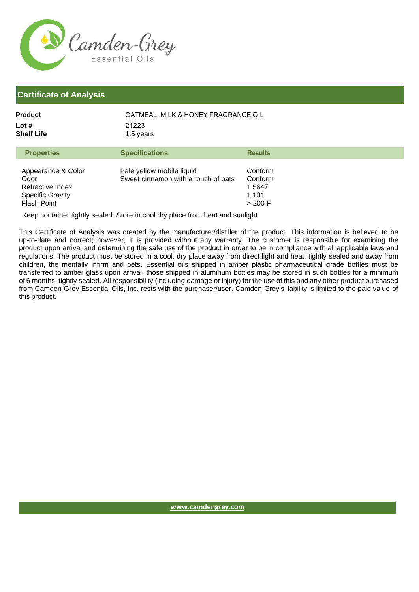

| Product    | OATMEAL, MILK & HONEY FRAGRANCE OIL |
|------------|-------------------------------------|
| Lot #      | 21223                               |
| Shelf Life | 1.5 years                           |

| Pale yellow mobile liquid<br>Appearance & Color<br>Conform<br>Sweet cinnamon with a touch of oats<br>Odor<br>Conform<br>Refractive Index<br>1.5647<br><b>Specific Gravity</b><br>1.101<br><b>Flash Point</b><br>$>$ 200 F | <b>Properties</b> | <b>Specifications</b> | <b>Results</b> |
|---------------------------------------------------------------------------------------------------------------------------------------------------------------------------------------------------------------------------|-------------------|-----------------------|----------------|
|                                                                                                                                                                                                                           |                   |                       |                |

Keep container tightly sealed. Store in cool dry place from heat and sunlight.

This Certificate of Analysis was created by the manufacturer/distiller of the product. This information is believed to be up-to-date and correct; however, it is provided without any warranty. The customer is responsible for examining the product upon arrival and determining the safe use of the product in order to be in compliance with all applicable laws and regulations. The product must be stored in a cool, dry place away from direct light and heat, tightly sealed and away from children, the mentally infirm and pets. Essential oils shipped in amber plastic pharmaceutical grade bottles must be transferred to amber glass upon arrival, those shipped in aluminum bottles may be stored in such bottles for a minimum of 6 months, tightly sealed. All responsibility (including damage or injury) for the use of this and any other product purchased from Camden-Grey Essential Oils, Inc. rests with the purchaser/user. Camden-Grey's liability is limited to the paid value of this product.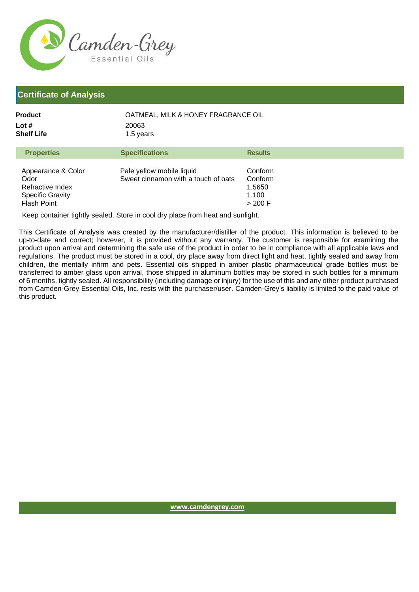

Specific Gravity Flash Point

| <b>Product</b><br>OATMEAL, MILK & HONEY FRAGRANCE OIL<br>Lot $#$<br>20063<br><b>Shelf Life</b><br>1.5 years |                                                                  |                              |
|-------------------------------------------------------------------------------------------------------------|------------------------------------------------------------------|------------------------------|
| <b>Properties</b>                                                                                           | <b>Specifications</b>                                            | <b>Results</b>               |
| Appearance & Color<br>Odor<br>Refractive Index                                                              | Pale yellow mobile liquid<br>Sweet cinnamon with a touch of oats | Conform<br>Conform<br>1.5650 |

Keep container tightly sealed. Store in cool dry place from heat and sunlight.

This Certificate of Analysis was created by the manufacturer/distiller of the product. This information is believed to be up-to-date and correct; however, it is provided without any warranty. The customer is responsible for examining the product upon arrival and determining the safe use of the product in order to be in compliance with all applicable laws and regulations. The product must be stored in a cool, dry place away from direct light and heat, tightly sealed and away from children, the mentally infirm and pets. Essential oils shipped in amber plastic pharmaceutical grade bottles must be transferred to amber glass upon arrival, those shipped in aluminum bottles may be stored in such bottles for a minimum of 6 months, tightly sealed. All responsibility (including damage or injury) for the use of this and any other product purchased from Camden-Grey Essential Oils, Inc. rests with the purchaser/user. Camden-Grey's liability is limited to the paid value of this product.

1.100 > 200 F